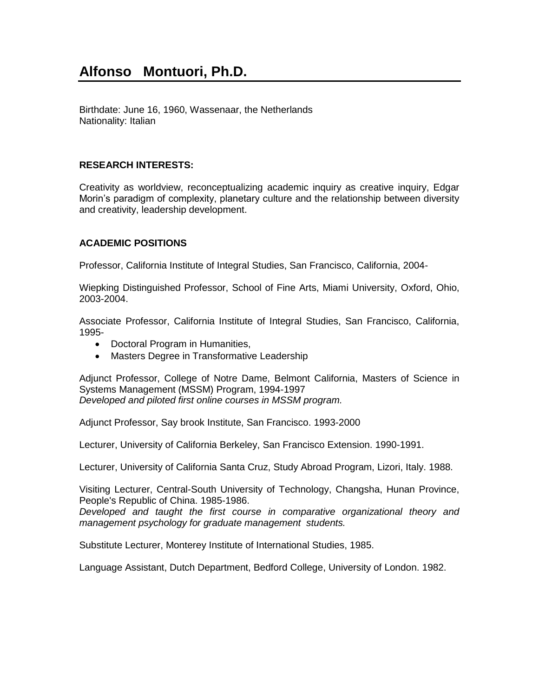Birthdate: June 16, 1960, Wassenaar, the Netherlands Nationality: Italian

# **RESEARCH INTERESTS:**

Creativity as worldview, reconceptualizing academic inquiry as creative inquiry, Edgar Morin's paradigm of complexity, planetary culture and the relationship between diversity and creativity, leadership development.

# **ACADEMIC POSITIONS**

Professor, California Institute of Integral Studies, San Francisco, California, 2004-

Wiepking Distinguished Professor, School of Fine Arts, Miami University, Oxford, Ohio, 2003-2004.

Associate Professor, California Institute of Integral Studies, San Francisco, California, 1995-

- Doctoral Program in Humanities,
- Masters Degree in Transformative Leadership

Adjunct Professor, College of Notre Dame, Belmont California, Masters of Science in Systems Management (MSSM) Program, 1994-1997 *Developed and piloted first online courses in MSSM program.*

Adjunct Professor, Say brook Institute, San Francisco. 1993-2000

Lecturer, University of California Berkeley, San Francisco Extension. 1990-1991.

Lecturer, University of California Santa Cruz, Study Abroad Program, Lizori, Italy. 1988.

Visiting Lecturer, Central-South University of Technology, Changsha, Hunan Province, People's Republic of China. 1985-1986.

*Developed and taught the first course in comparative organizational theory and management psychology for graduate management students.* 

Substitute Lecturer, Monterey Institute of International Studies, 1985.

Language Assistant, Dutch Department, Bedford College, University of London. 1982.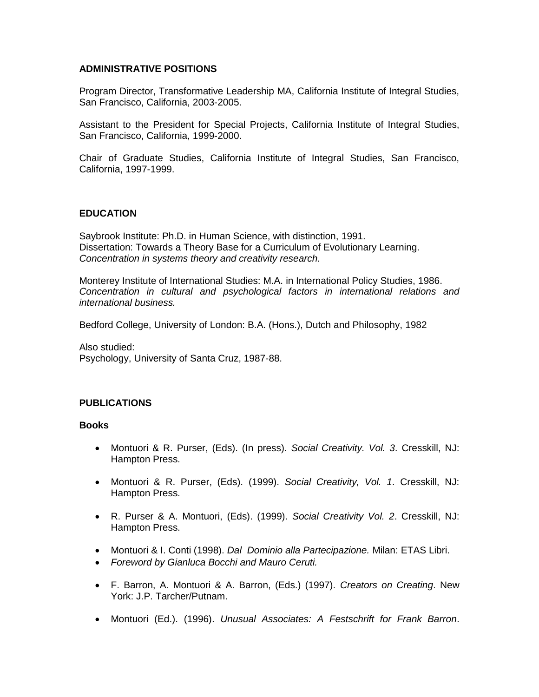### **ADMINISTRATIVE POSITIONS**

Program Director, Transformative Leadership MA, California Institute of Integral Studies, San Francisco, California, 2003-2005.

Assistant to the President for Special Projects, California Institute of Integral Studies, San Francisco, California, 1999-2000.

Chair of Graduate Studies, California Institute of Integral Studies, San Francisco, California, 1997-1999.

## **EDUCATION**

Saybrook Institute: Ph.D. in Human Science, with distinction, 1991. Dissertation: Towards a Theory Base for a Curriculum of Evolutionary Learning. *Concentration in systems theory and creativity research.*

Monterey Institute of International Studies: M.A. in International Policy Studies, 1986. *Concentration in cultural and psychological factors in international relations and international business.*

Bedford College, University of London: B.A. (Hons.), Dutch and Philosophy, 1982

Also studied: Psychology, University of Santa Cruz, 1987-88.

#### **PUBLICATIONS**

#### **Books**

- Montuori & R. Purser, (Eds). (In press). *Social Creativity. Vol. 3*. Cresskill, NJ: Hampton Press.
- Montuori & R. Purser, (Eds). (1999). *Social Creativity, Vol. 1*. Cresskill, NJ: Hampton Press.
- R. Purser & A. Montuori, (Eds). (1999). *Social Creativity Vol. 2*. Cresskill, NJ: Hampton Press.
- Montuori & I. Conti (1998). *Dal Dominio alla Partecipazione.* Milan: ETAS Libri.
- *Foreword by Gianluca Bocchi and Mauro Ceruti.*
- F. Barron, A. Montuori & A. Barron, (Eds.) (1997). *Creators on Creating*. New York: J.P. Tarcher/Putnam.
- Montuori (Ed.). (1996). *Unusual Associates: A Festschrift for Frank Barron*.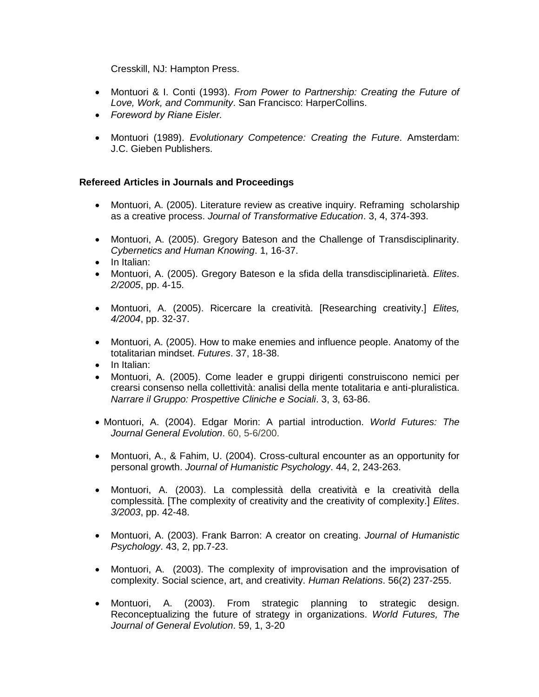Cresskill, NJ: Hampton Press.

- Montuori & I. Conti (1993). *From Power to Partnership: Creating the Future of Love, Work, and Community*. San Francisco: HarperCollins.
- *Foreword by Riane Eisler.*
- Montuori (1989). *Evolutionary Competence: Creating the Future*. Amsterdam: J.C. Gieben Publishers.

### **Refereed Articles in Journals and Proceedings**

- Montuori, A. (2005). Literature review as creative inquiry. Reframing scholarship as a creative process. *Journal of Transformative Education*. 3, 4, 374-393.
- Montuori, A. (2005). Gregory Bateson and the Challenge of Transdisciplinarity. *Cybernetics and Human Knowing*. 1, 16-37.
- In Italian:
- Montuori, A. (2005). Gregory Bateson e la sfida della transdisciplinarietà. *Elites*. *2/2005*, pp. 4-15.
- Montuori, A. (2005). Ricercare la creatività. [Researching creativity.] *Elites, 4/2004*, pp. 32-37.
- Montuori, A. (2005). How to make enemies and influence people. Anatomy of the totalitarian mindset. *Futures*. 37, 18-38.
- In Italian:
- Montuori, A. (2005). Come leader e gruppi dirigenti construiscono nemici per crearsi consenso nella collettività: analisi della mente totalitaria e anti-pluralistica. *Narrare il Gruppo: Prospettive Cliniche e Sociali*. 3, 3, 63-86.
- Montuori, A. (2004). Edgar Morin: A partial introduction. *World Futures: The Journal General Evolution*. 60, 5-6/200.
- Montuori, A., & Fahim, U. (2004). Cross-cultural encounter as an opportunity for personal growth. *Journal of Humanistic Psychology*. 44, 2, 243-263.
- Montuori, A. (2003). La complessità della creatività e la creatività della complessità. [The complexity of creativity and the creativity of complexity.] *Elites*. *3/2003*, pp. 42-48.
- Montuori, A. (2003). Frank Barron: A creator on creating. *Journal of Humanistic Psychology*. 43, 2, pp.7-23.
- Montuori, A. (2003). The complexity of improvisation and the improvisation of complexity. Social science, art, and creativity. *Human Relations*. 56(2) 237-255.
- Montuori, A. (2003). From strategic planning to strategic design. Reconceptualizing the future of strategy in organizations. *World Futures, The Journal of General Evolution*. 59, 1, 3-20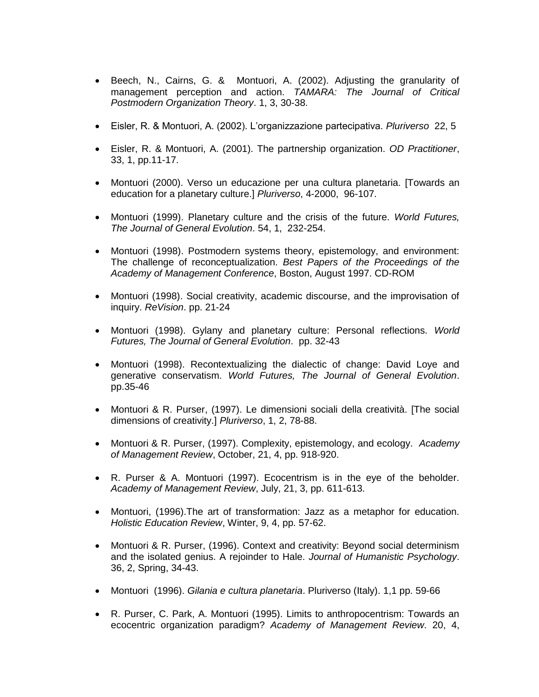- Beech, N., Cairns, G. & Montuori, A. (2002). Adjusting the granularity of management perception and action. *TAMARA: The Journal of Critical Postmodern Organization Theory*. 1, 3, 30-38.
- Eisler, R. & Montuori, A. (2002). L'organizzazione partecipativa. *Pluriverso* 22, 5
- Eisler, R. & Montuori, A. (2001). The partnership organization. *OD Practitioner*, 33, 1, pp.11-17.
- Montuori (2000). Verso un educazione per una cultura planetaria. [Towards an education for a planetary culture.] *Pluriverso*, 4-2000, 96-107.
- Montuori (1999). Planetary culture and the crisis of the future. *World Futures, The Journal of General Evolution*. 54, 1, 232-254.
- Montuori (1998). Postmodern systems theory, epistemology, and environment: The challenge of reconceptualization. *Best Papers of the Proceedings of the Academy of Management Conference*, Boston, August 1997. CD-ROM
- Montuori (1998). Social creativity, academic discourse, and the improvisation of inquiry. *ReVision*. pp. 21-24
- Montuori (1998). Gylany and planetary culture: Personal reflections. *World Futures, The Journal of General Evolution*. pp. 32-43
- Montuori (1998). Recontextualizing the dialectic of change: David Loye and generative conservatism. *World Futures, The Journal of General Evolution*. pp.35-46
- Montuori & R. Purser, (1997). Le dimensioni sociali della creatività. [The social dimensions of creativity.] *Pluriverso*, 1, 2, 78-88.
- Montuori & R. Purser, (1997). Complexity, epistemology, and ecology. *Academy of Management Review*, October, 21, 4, pp. 918-920.
- R. Purser & A. Montuori (1997). Ecocentrism is in the eye of the beholder. *Academy of Management Review*, July, 21, 3, pp. 611-613.
- Montuori, (1996).The art of transformation: Jazz as a metaphor for education. *Holistic Education Review*, Winter, 9, 4, pp. 57-62.
- Montuori & R. Purser, (1996). Context and creativity: Beyond social determinism and the isolated genius. A rejoinder to Hale. *Journal of Humanistic Psychology*. 36, 2, Spring, 34-43.
- Montuori (1996). *Gilania e cultura planetaria*. Pluriverso (Italy). 1,1 pp. 59-66
- R. Purser, C. Park, A. Montuori (1995). Limits to anthropocentrism: Towards an ecocentric organization paradigm? *Academy of Management Review*. 20, 4,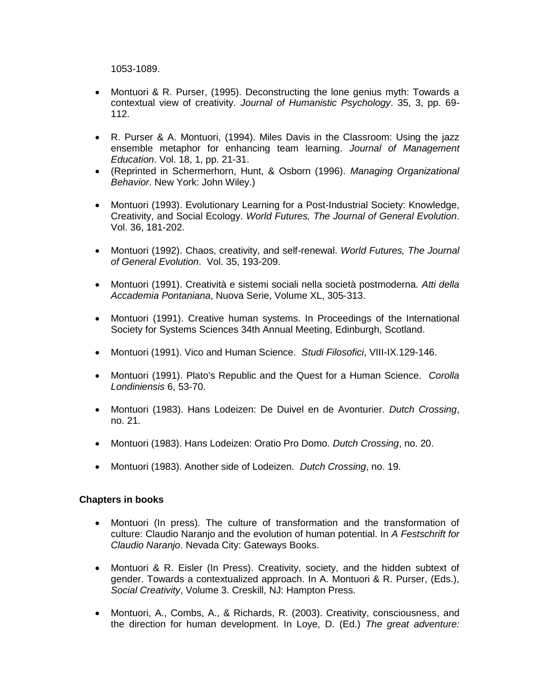1053-1089.

- Montuori & R. Purser, (1995). Deconstructing the lone genius myth: Towards a contextual view of creativity. *Journal of Humanistic Psychology*. 35, 3, pp. 69- 112.
- R. Purser & A. Montuori, (1994). Miles Davis in the Classroom: Using the jazz ensemble metaphor for enhancing team learning. *Journal of Management Education*. Vol. 18, 1, pp. 21-31.
- (Reprinted in Schermerhorn, Hunt, & Osborn (1996). *Managing Organizational Behavior*. New York: John Wiley.)
- Montuori (1993). Evolutionary Learning for a Post-Industrial Society: Knowledge, Creativity, and Social Ecology. *World Futures, The Journal of General Evolution*. Vol. 36, 181-202.
- Montuori (1992). Chaos, creativity, and self-renewal. *World Futures, The Journal of General Evolution*. Vol. 35, 193-209.
- Montuori (1991). Creatività e sistemi sociali nella società postmoderna. *Atti della Accademia Pontaniana*, Nuova Serie, Volume XL, 305-313.
- Montuori (1991). Creative human systems. In Proceedings of the International Society for Systems Sciences 34th Annual Meeting, Edinburgh, Scotland.
- Montuori (1991). Vico and Human Science. *Studi Filosofici*, VIII-IX.129-146.
- Montuori (1991). Plato's Republic and the Quest for a Human Science. *Corolla Londiniensis* 6, 53-70.
- Montuori (1983). Hans Lodeizen: De Duivel en de Avonturier. *Dutch Crossing*, no. 21.
- Montuori (1983). Hans Lodeizen: Oratio Pro Domo. *Dutch Crossing*, no. 20.
- Montuori (1983). Another side of Lodeizen. *Dutch Crossing*, no. 19.

#### **Chapters in books**

- Montuori (In press). The culture of transformation and the transformation of culture: Claudio Naranjo and the evolution of human potential. In *A Festschrift for Claudio Naranjo*. Nevada City: Gateways Books.
- Montuori & R. Eisler (In Press). Creativity, society, and the hidden subtext of gender. Towards a contextualized approach. In A. Montuori & R. Purser, (Eds.), *Social Creativity*, Volume 3. Creskill, NJ: Hampton Press.
- Montuori, A., Combs, A., & Richards, R. (2003). Creativity, consciousness, and the direction for human development. In Loye, D. (Ed.) *The great adventure:*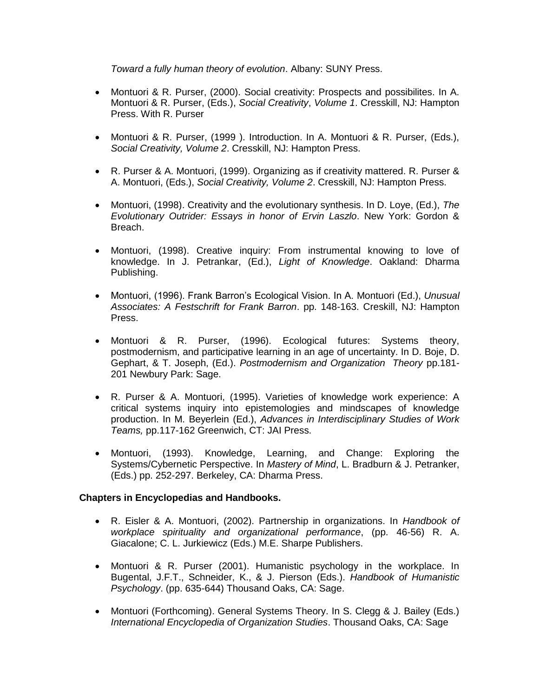*Toward a fully human theory of evolution*. Albany: SUNY Press.

- Montuori & R. Purser, (2000). Social creativity: Prospects and possibilites. In A. Montuori & R. Purser, (Eds.), *Social Creativity*, *Volume 1*. Cresskill, NJ: Hampton Press. With R. Purser
- Montuori & R. Purser, (1999 ). Introduction. In A. Montuori & R. Purser, (Eds.), *Social Creativity, Volume 2*. Cresskill, NJ: Hampton Press.
- R. Purser & A. Montuori, (1999). Organizing as if creativity mattered. R. Purser & A. Montuori, (Eds.), *Social Creativity, Volume 2*. Cresskill, NJ: Hampton Press.
- Montuori, (1998). Creativity and the evolutionary synthesis. In D. Loye, (Ed.), *The Evolutionary Outrider: Essays in honor of Ervin Laszlo*. New York: Gordon & Breach.
- Montuori, (1998). Creative inquiry: From instrumental knowing to love of knowledge. In J. Petrankar, (Ed.), *Light of Knowledge*. Oakland: Dharma Publishing.
- Montuori, (1996). Frank Barron's Ecological Vision. In A. Montuori (Ed.), *Unusual Associates: A Festschrift for Frank Barron*. pp. 148-163. Creskill, NJ: Hampton Press.
- Montuori & R. Purser, (1996). Ecological futures: Systems theory, postmodernism, and participative learning in an age of uncertainty. In D. Boje, D. Gephart, & T. Joseph, (Ed.). *Postmodernism and Organization Theory* pp.181- 201 Newbury Park: Sage.
- R. Purser & A. Montuori, (1995). Varieties of knowledge work experience: A critical systems inquiry into epistemologies and mindscapes of knowledge production. In M. Beyerlein (Ed.), *Advances in Interdisciplinary Studies of Work Teams,* pp.117-162 Greenwich, CT: JAI Press.
- Montuori, (1993). Knowledge, Learning, and Change: Exploring the Systems/Cybernetic Perspective. In *Mastery of Mind*, L. Bradburn & J. Petranker, (Eds.) pp. 252-297. Berkeley, CA: Dharma Press.

## **Chapters in Encyclopedias and Handbooks.**

- R. Eisler & A. Montuori, (2002). Partnership in organizations. In *Handbook of workplace spirituality and organizational performance*, (pp. 46-56) R. A. Giacalone; C. L. Jurkiewicz (Eds.) M.E. Sharpe Publishers.
- Montuori & R. Purser (2001). Humanistic psychology in the workplace. In Bugental, J.F.T., Schneider, K., & J. Pierson (Eds.). *Handbook of Humanistic Psychology*. (pp. 635-644) Thousand Oaks, CA: Sage.
- Montuori (Forthcoming). General Systems Theory. In S. Clegg & J. Bailey (Eds.) *International Encyclopedia of Organization Studies*. Thousand Oaks, CA: Sage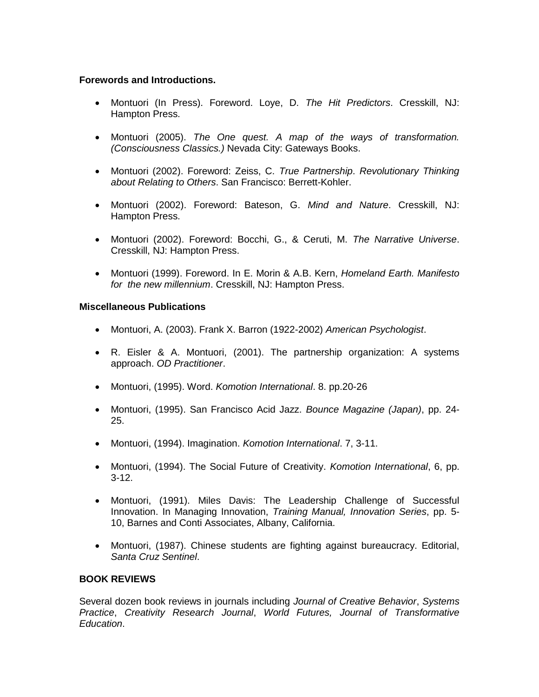### **Forewords and Introductions.**

- Montuori (In Press). Foreword. Loye, D. *The Hit Predictors*. Cresskill, NJ: Hampton Press.
- Montuori (2005). *The One quest. A map of the ways of transformation. (Consciousness Classics.)* Nevada City: Gateways Books.
- Montuori (2002). Foreword: Zeiss, C. *True Partnership*. *Revolutionary Thinking about Relating to Others*. San Francisco: Berrett-Kohler.
- Montuori (2002). Foreword: Bateson, G. *Mind and Nature*. Cresskill, NJ: Hampton Press.
- Montuori (2002). Foreword: Bocchi, G., & Ceruti, M. *The Narrative Universe*. Cresskill, NJ: Hampton Press.
- Montuori (1999). Foreword. In E. Morin & A.B. Kern, *Homeland Earth. Manifesto for the new millennium*. Cresskill, NJ: Hampton Press.

### **Miscellaneous Publications**

- Montuori, A. (2003). Frank X. Barron (1922-2002) *American Psychologist*.
- R. Eisler & A. Montuori, (2001). The partnership organization: A systems approach. *OD Practitioner*.
- Montuori, (1995). Word. *Komotion International*. 8. pp.20-26
- Montuori, (1995). San Francisco Acid Jazz. *Bounce Magazine (Japan)*, pp. 24- 25.
- Montuori, (1994). Imagination. *Komotion International*. 7, 3-11.
- Montuori, (1994). The Social Future of Creativity. *Komotion International*, 6, pp. 3-12.
- Montuori, (1991). Miles Davis: The Leadership Challenge of Successful Innovation. In Managing Innovation, *Training Manual, Innovation Series*, pp. 5- 10, Barnes and Conti Associates, Albany, California.
- Montuori, (1987). Chinese students are fighting against bureaucracy. Editorial, *Santa Cruz Sentinel*.

## **BOOK REVIEWS**

Several dozen book reviews in journals including *Journal of Creative Behavior*, *Systems Practice*, *Creativity Research Journal*, *World Futures, Journal of Transformative Education*.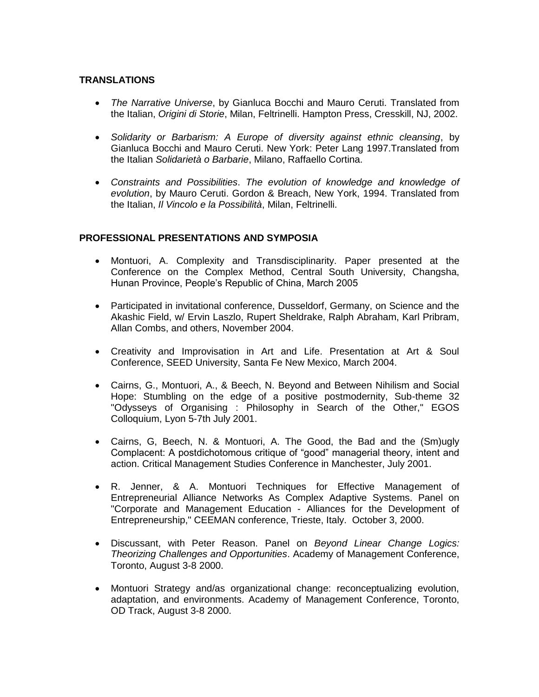## **TRANSLATIONS**

- *The Narrative Universe*, by Gianluca Bocchi and Mauro Ceruti. Translated from the Italian, *Origini di Storie*, Milan, Feltrinelli. Hampton Press, Cresskill, NJ, 2002.
- *Solidarity or Barbarism: A Europe of diversity against ethnic cleansing*, by Gianluca Bocchi and Mauro Ceruti. New York: Peter Lang 1997.Translated from the Italian *Solidarietà o Barbarie*, Milano, Raffaello Cortina.
- *Constraints and Possibilities*. *The evolution of knowledge and knowledge of evolution*, by Mauro Ceruti. Gordon & Breach, New York, 1994. Translated from the Italian, *Il Vincolo e la Possibilità*, Milan, Feltrinelli.

### **PROFESSIONAL PRESENTATIONS AND SYMPOSIA**

- Montuori, A. Complexity and Transdisciplinarity. Paper presented at the Conference on the Complex Method, Central South University, Changsha, Hunan Province, People's Republic of China, March 2005
- Participated in invitational conference, Dusseldorf, Germany, on Science and the Akashic Field, w/ Ervin Laszlo, Rupert Sheldrake, Ralph Abraham, Karl Pribram, Allan Combs, and others, November 2004.
- Creativity and Improvisation in Art and Life. Presentation at Art & Soul Conference, SEED University, Santa Fe New Mexico, March 2004.
- Cairns, G., Montuori, A., & Beech, N. Beyond and Between Nihilism and Social Hope: Stumbling on the edge of a positive postmodernity, Sub-theme 32 "Odysseys of Organising : Philosophy in Search of the Other," EGOS Colloquium, Lyon 5-7th July 2001.
- Cairns, G, Beech, N. & Montuori, A. The Good, the Bad and the (Sm)ugly Complacent: A postdichotomous critique of "good" managerial theory, intent and action. Critical Management Studies Conference in Manchester, July 2001.
- R. Jenner, & A. Montuori Techniques for Effective Management of Entrepreneurial Alliance Networks As Complex Adaptive Systems. Panel on "Corporate and Management Education - Alliances for the Development of Entrepreneurship," CEEMAN conference, Trieste, Italy. October 3, 2000.
- Discussant, with Peter Reason. Panel on *Beyond Linear Change Logics: Theorizing Challenges and Opportunities*. Academy of Management Conference, Toronto, August 3-8 2000.
- Montuori Strategy and/as organizational change: reconceptualizing evolution, adaptation, and environments. Academy of Management Conference, Toronto, OD Track, August 3-8 2000.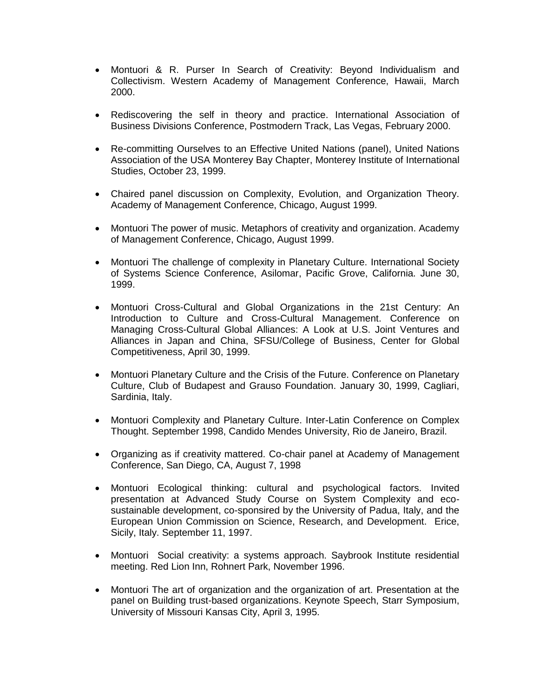- Montuori & R. Purser In Search of Creativity: Beyond Individualism and Collectivism. Western Academy of Management Conference, Hawaii, March 2000.
- Rediscovering the self in theory and practice. International Association of Business Divisions Conference, Postmodern Track, Las Vegas, February 2000.
- Re-committing Ourselves to an Effective United Nations (panel), United Nations Association of the USA Monterey Bay Chapter, Monterey Institute of International Studies, October 23, 1999.
- Chaired panel discussion on Complexity, Evolution, and Organization Theory. Academy of Management Conference, Chicago, August 1999.
- Montuori The power of music. Metaphors of creativity and organization. Academy of Management Conference, Chicago, August 1999.
- Montuori The challenge of complexity in Planetary Culture. International Society of Systems Science Conference, Asilomar, Pacific Grove, California. June 30, 1999.
- Montuori Cross-Cultural and Global Organizations in the 21st Century: An Introduction to Culture and Cross-Cultural Management. Conference on Managing Cross-Cultural Global Alliances: A Look at U.S. Joint Ventures and Alliances in Japan and China, SFSU/College of Business, Center for Global Competitiveness, April 30, 1999.
- Montuori Planetary Culture and the Crisis of the Future. Conference on Planetary Culture, Club of Budapest and Grauso Foundation. January 30, 1999, Cagliari, Sardinia, Italy.
- Montuori Complexity and Planetary Culture. Inter-Latin Conference on Complex Thought. September 1998, Candido Mendes University, Rio de Janeiro, Brazil.
- Organizing as if creativity mattered. Co-chair panel at Academy of Management Conference, San Diego, CA, August 7, 1998
- Montuori Ecological thinking: cultural and psychological factors. Invited presentation at Advanced Study Course on System Complexity and ecosustainable development, co-sponsired by the University of Padua, Italy, and the European Union Commission on Science, Research, and Development. Erice, Sicily, Italy. September 11, 1997.
- Montuori Social creativity: a systems approach. Saybrook Institute residential meeting. Red Lion Inn, Rohnert Park, November 1996.
- Montuori The art of organization and the organization of art. Presentation at the panel on Building trust-based organizations. Keynote Speech, Starr Symposium, University of Missouri Kansas City, April 3, 1995.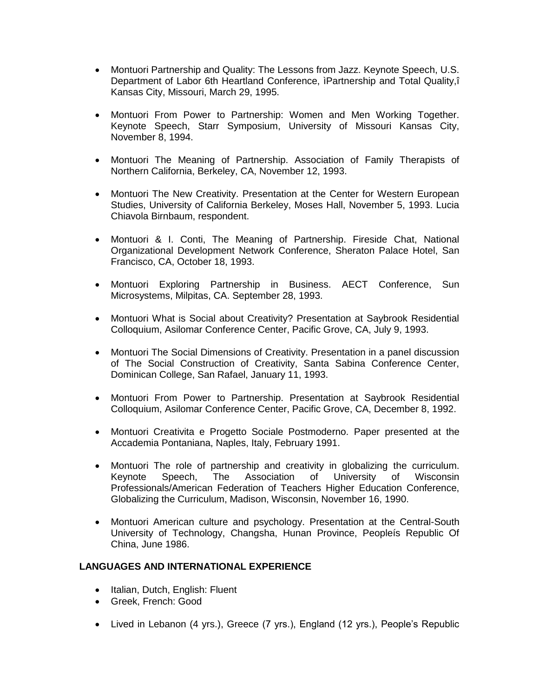- Montuori Partnership and Quality: The Lessons from Jazz. Keynote Speech, U.S. Department of Labor 6th Heartland Conference, ìPartnership and Total Quality,î Kansas City, Missouri, March 29, 1995.
- Montuori From Power to Partnership: Women and Men Working Together. Keynote Speech, Starr Symposium, University of Missouri Kansas City, November 8, 1994.
- Montuori The Meaning of Partnership. Association of Family Therapists of Northern California, Berkeley, CA, November 12, 1993.
- Montuori The New Creativity. Presentation at the Center for Western European Studies, University of California Berkeley, Moses Hall, November 5, 1993. Lucia Chiavola Birnbaum, respondent.
- Montuori & I. Conti, The Meaning of Partnership. Fireside Chat, National Organizational Development Network Conference, Sheraton Palace Hotel, San Francisco, CA, October 18, 1993.
- Montuori Exploring Partnership in Business. AECT Conference, Sun Microsystems, Milpitas, CA. September 28, 1993.
- Montuori What is Social about Creativity? Presentation at Saybrook Residential Colloquium, Asilomar Conference Center, Pacific Grove, CA, July 9, 1993.
- Montuori The Social Dimensions of Creativity. Presentation in a panel discussion of The Social Construction of Creativity, Santa Sabina Conference Center, Dominican College, San Rafael, January 11, 1993.
- Montuori From Power to Partnership. Presentation at Saybrook Residential Colloquium, Asilomar Conference Center, Pacific Grove, CA, December 8, 1992.
- Montuori Creativita e Progetto Sociale Postmoderno. Paper presented at the Accademia Pontaniana, Naples, Italy, February 1991.
- Montuori The role of partnership and creativity in globalizing the curriculum. Keynote Speech, The Association of University of Wisconsin Professionals/American Federation of Teachers Higher Education Conference, Globalizing the Curriculum, Madison, Wisconsin, November 16, 1990.
- Montuori American culture and psychology. Presentation at the Central-South University of Technology, Changsha, Hunan Province, Peopleís Republic Of China, June 1986.

# **LANGUAGES AND INTERNATIONAL EXPERIENCE**

- Italian, Dutch, English: Fluent
- Greek, French: Good
- Lived in Lebanon (4 yrs.), Greece (7 yrs.), England (12 yrs.), People's Republic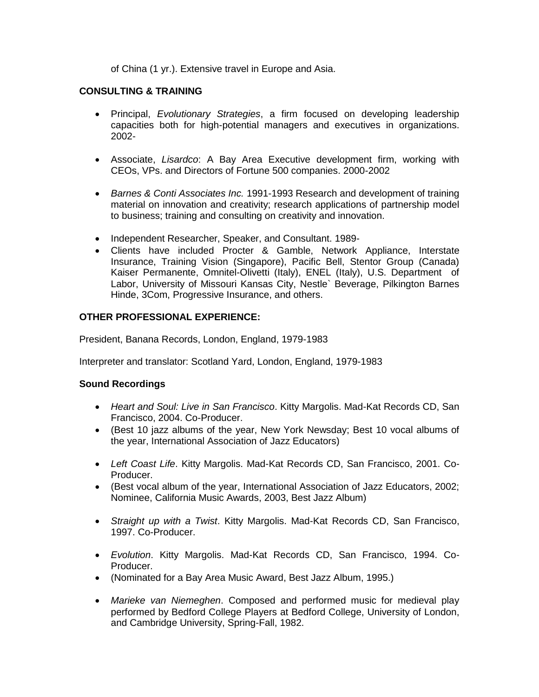of China (1 yr.). Extensive travel in Europe and Asia.

# **CONSULTING & TRAINING**

- Principal, *Evolutionary Strategies*, a firm focused on developing leadership capacities both for high-potential managers and executives in organizations. 2002-
- Associate, *Lisardco*: A Bay Area Executive development firm, working with CEOs, VPs. and Directors of Fortune 500 companies. 2000-2002
- *Barnes & Conti Associates Inc.* 1991-1993 Research and development of training material on innovation and creativity; research applications of partnership model to business; training and consulting on creativity and innovation.
- Independent Researcher, Speaker, and Consultant. 1989-
- Clients have included Procter & Gamble, Network Appliance, Interstate Insurance, Training Vision (Singapore), Pacific Bell, Stentor Group (Canada) Kaiser Permanente, Omnitel-Olivetti (Italy), ENEL (Italy), U.S. Department of Labor, University of Missouri Kansas City, Nestle` Beverage, Pilkington Barnes Hinde, 3Com, Progressive Insurance, and others.

## **OTHER PROFESSIONAL EXPERIENCE:**

President, Banana Records, London, England, 1979-1983

Interpreter and translator: Scotland Yard, London, England, 1979-1983

#### **Sound Recordings**

- *Heart and Soul: Live in San Francisco*. Kitty Margolis. Mad-Kat Records CD, San Francisco, 2004. Co-Producer.
- (Best 10 jazz albums of the year, New York Newsday; Best 10 vocal albums of the year, International Association of Jazz Educators)
- *Left Coast Life*. Kitty Margolis. Mad-Kat Records CD, San Francisco, 2001. Co-Producer.
- (Best vocal album of the year, International Association of Jazz Educators, 2002; Nominee, California Music Awards, 2003, Best Jazz Album)
- *Straight up with a Twist*. Kitty Margolis. Mad-Kat Records CD, San Francisco, 1997. Co-Producer.
- *Evolution*. Kitty Margolis. Mad-Kat Records CD, San Francisco, 1994. Co-Producer.
- (Nominated for a Bay Area Music Award, Best Jazz Album, 1995.)
- *Marieke van Niemeghen*. Composed and performed music for medieval play performed by Bedford College Players at Bedford College, University of London, and Cambridge University, Spring-Fall, 1982.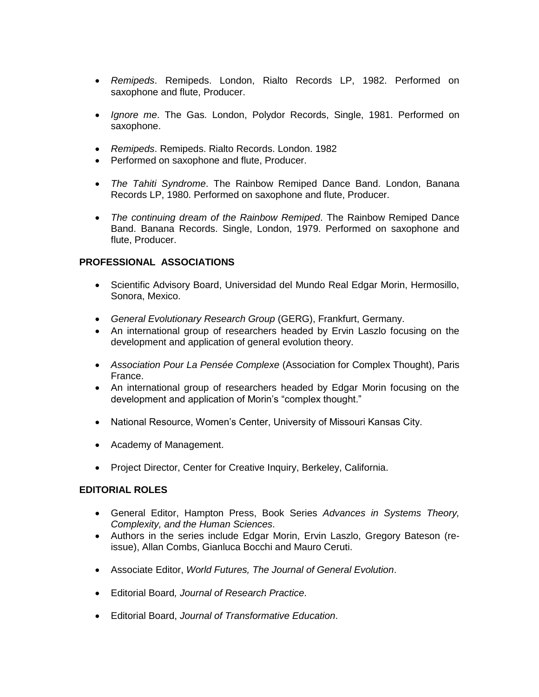- *Remipeds*. Remipeds. London, Rialto Records LP, 1982. Performed on saxophone and flute, Producer.
- *Ignore me*. The Gas. London, Polydor Records, Single, 1981. Performed on saxophone.
- *Remipeds*. Remipeds. Rialto Records. London. 1982
- Performed on saxophone and flute, Producer.
- *The Tahiti Syndrome*. The Rainbow Remiped Dance Band. London, Banana Records LP, 1980. Performed on saxophone and flute, Producer.
- *The continuing dream of the Rainbow Remiped*. The Rainbow Remiped Dance Band. Banana Records. Single, London, 1979. Performed on saxophone and flute, Producer.

### **PROFESSIONAL ASSOCIATIONS**

- Scientific Advisory Board, Universidad del Mundo Real Edgar Morin, Hermosillo, Sonora, Mexico.
- *General Evolutionary Research Group* (GERG), Frankfurt, Germany.
- An international group of researchers headed by Ervin Laszlo focusing on the development and application of general evolution theory.
- *Association Pour La Pensée Complexe* (Association for Complex Thought), Paris France.
- An international group of researchers headed by Edgar Morin focusing on the development and application of Morin's "complex thought."
- National Resource, Women's Center, University of Missouri Kansas City.
- Academy of Management.
- Project Director, Center for Creative Inquiry, Berkeley, California.

#### **EDITORIAL ROLES**

- General Editor, Hampton Press, Book Series *Advances in Systems Theory, Complexity, and the Human Sciences*.
- Authors in the series include Edgar Morin, Ervin Laszlo, Gregory Bateson (reissue), Allan Combs, Gianluca Bocchi and Mauro Ceruti.
- Associate Editor, *World Futures, The Journal of General Evolution*.
- Editorial Board*, Journal of Research Practice*.
- Editorial Board, *Journal of Transformative Education*.